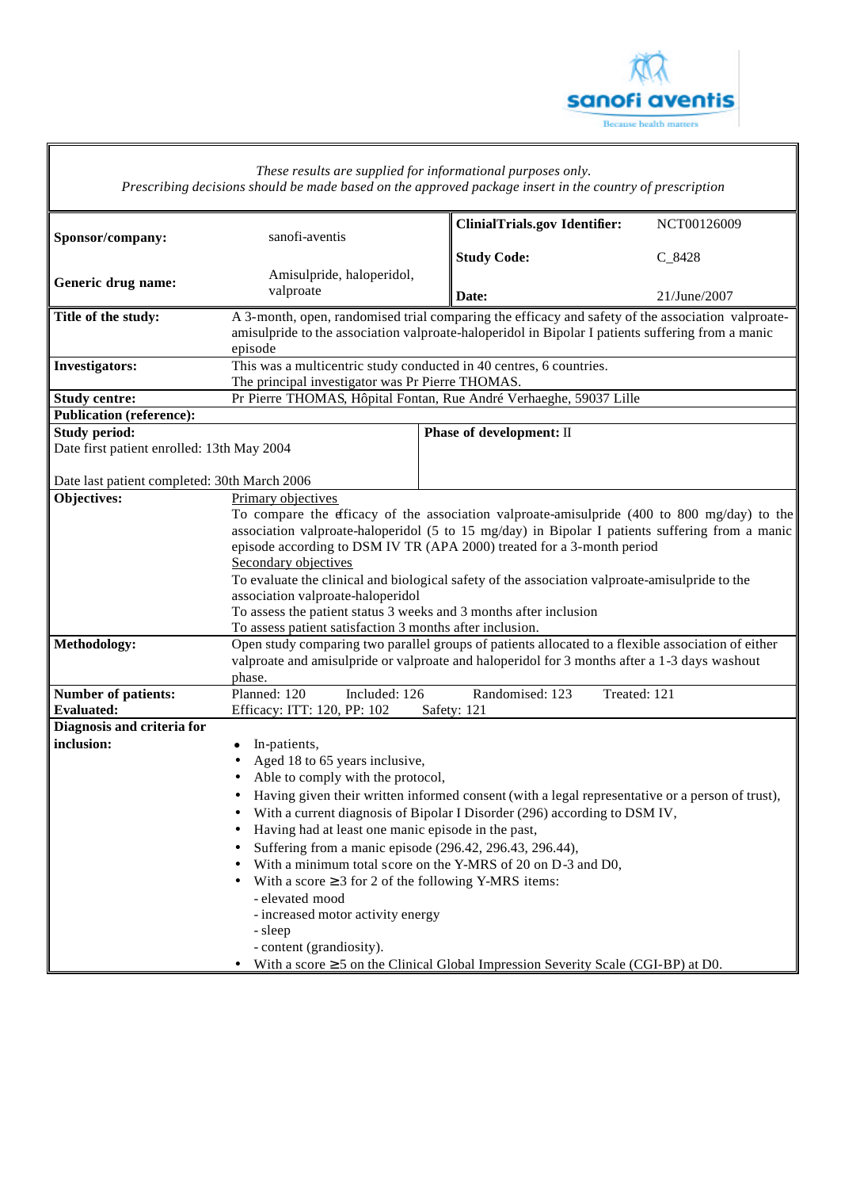

 $\overline{\mathbb{I}}$ 

|                                              | These results are supplied for informational purposes only.                                     | Prescribing decisions should be made based on the approved package insert in the country of prescription |              |  |  |  |
|----------------------------------------------|-------------------------------------------------------------------------------------------------|----------------------------------------------------------------------------------------------------------|--------------|--|--|--|
|                                              |                                                                                                 | <b>ClinialTrials.gov Identifier:</b>                                                                     | NCT00126009  |  |  |  |
| Sponsor/company:                             | sanofi-aventis                                                                                  |                                                                                                          |              |  |  |  |
|                                              | Amisulpride, haloperidol,                                                                       | <b>Study Code:</b>                                                                                       | $C_8428$     |  |  |  |
| Generic drug name:                           | valproate                                                                                       | Date:                                                                                                    | 21/June/2007 |  |  |  |
| Title of the study:                          |                                                                                                 | A 3-month, open, randomised trial comparing the efficacy and safety of the association valproate-        |              |  |  |  |
|                                              |                                                                                                 | amisulpride to the association valproate-haloperidol in Bipolar I patients suffering from a manic        |              |  |  |  |
|                                              | episode<br>This was a multicentric study conducted in 40 centres, 6 countries.                  |                                                                                                          |              |  |  |  |
| <b>Investigators:</b>                        | The principal investigator was Pr Pierre THOMAS.                                                |                                                                                                          |              |  |  |  |
| <b>Study centre:</b>                         |                                                                                                 | Pr Pierre THOMAS, Hôpital Fontan, Rue André Verhaeghe, 59037 Lille                                       |              |  |  |  |
| <b>Publication (reference):</b>              |                                                                                                 |                                                                                                          |              |  |  |  |
| <b>Study period:</b>                         |                                                                                                 | Phase of development: II                                                                                 |              |  |  |  |
| Date first patient enrolled: 13th May 2004   |                                                                                                 |                                                                                                          |              |  |  |  |
|                                              |                                                                                                 |                                                                                                          |              |  |  |  |
| Date last patient completed: 30th March 2006 |                                                                                                 |                                                                                                          |              |  |  |  |
| Objectives:                                  | Primary objectives                                                                              |                                                                                                          |              |  |  |  |
|                                              | To compare the efficacy of the association valproate-amisulpride (400 to 800 mg/day) to the     |                                                                                                          |              |  |  |  |
|                                              | association valproate-haloperidol (5 to 15 mg/day) in Bipolar I patients suffering from a manic |                                                                                                          |              |  |  |  |
|                                              | episode according to DSM IV TR (APA 2000) treated for a 3-month period<br>Secondary objectives  |                                                                                                          |              |  |  |  |
|                                              | To evaluate the clinical and biological safety of the association valproate-amisulpride to the  |                                                                                                          |              |  |  |  |
|                                              | association valproate-haloperidol                                                               |                                                                                                          |              |  |  |  |
|                                              | To assess the patient status 3 weeks and 3 months after inclusion                               |                                                                                                          |              |  |  |  |
|                                              | To assess patient satisfaction 3 months after inclusion.                                        |                                                                                                          |              |  |  |  |
| Methodology:                                 |                                                                                                 | Open study comparing two parallel groups of patients allocated to a flexible association of either       |              |  |  |  |
|                                              |                                                                                                 | valproate and amisulpride or valproate and haloperidol for 3 months after a 1-3 days washout             |              |  |  |  |
|                                              | phase.                                                                                          |                                                                                                          |              |  |  |  |
| <b>Number of patients:</b>                   | Planned: 120<br>Included: 126                                                                   | Randomised: 123                                                                                          | Treated: 121 |  |  |  |
| <b>Evaluated:</b>                            | Efficacy: ITT: 120, PP: 102                                                                     | Safety: 121                                                                                              |              |  |  |  |
| Diagnosis and criteria for<br>inclusion:     |                                                                                                 |                                                                                                          |              |  |  |  |
|                                              | In-patients,<br>Aged 18 to 65 years inclusive,                                                  |                                                                                                          |              |  |  |  |
|                                              | Able to comply with the protocol,                                                               |                                                                                                          |              |  |  |  |
|                                              |                                                                                                 | Having given their written informed consent (with a legal representative or a person of trust),          |              |  |  |  |
|                                              |                                                                                                 | With a current diagnosis of Bipolar I Disorder (296) according to DSM IV,                                |              |  |  |  |
|                                              | Having had at least one manic episode in the past,<br>٠                                         |                                                                                                          |              |  |  |  |
|                                              | Suffering from a manic episode (296.42, 296.43, 296.44),<br>$\bullet$                           |                                                                                                          |              |  |  |  |
|                                              | ٠                                                                                               | With a minimum total score on the Y-MRS of 20 on D-3 and D0,                                             |              |  |  |  |
|                                              | With a score $\geq 3$ for 2 of the following Y-MRS items:<br>٠                                  |                                                                                                          |              |  |  |  |
|                                              | - elevated mood                                                                                 |                                                                                                          |              |  |  |  |
|                                              | - increased motor activity energy                                                               |                                                                                                          |              |  |  |  |
|                                              | - sleep                                                                                         |                                                                                                          |              |  |  |  |
|                                              | - content (grandiosity).                                                                        |                                                                                                          |              |  |  |  |
|                                              | $\bullet$                                                                                       | With a score $\geq$ 5 on the Clinical Global Impression Severity Scale (CGI-BP) at D0.                   |              |  |  |  |

Г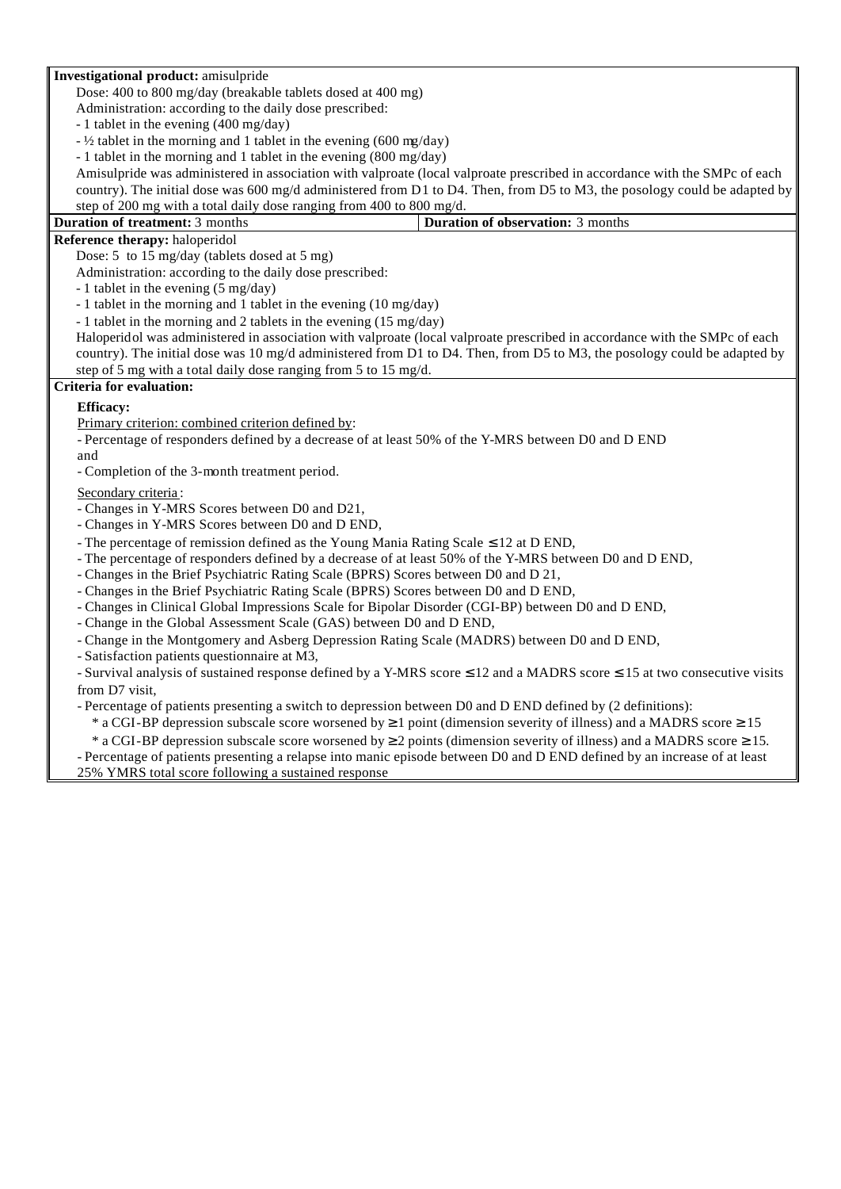#### **Investigational product:** amisulpride

Dose: 400 to 800 mg/day (breakable tablets dosed at 400 mg)

Administration: according to the daily dose prescribed:

- 1 tablet in the evening (400 mg/day)

- ½ tablet in the morning and 1 tablet in the evening (600 mg/day)

- 1 tablet in the morning and 1 tablet in the evening (800 mg/day)

Amisulpride was administered in association with valproate (local valproate prescribed in accordance with the SMPc of each country). The initial dose was 600 mg/d administered from D1 to D4. Then, from D5 to M3, the posology could be adapted by step of 200 mg with a total daily dose ranging from 400 to 800 mg/d.

| Duration of treatment: 3 months | <b>Duration of observation:</b> 3 months |
|---------------------------------|------------------------------------------|
|                                 |                                          |

# **Reference therapy:** haloperidol

Dose: 5 to 15 mg/day (tablets dosed at 5 mg)

Administration: according to the daily dose prescribed:

- 1 tablet in the evening (5 mg/day)

- 1 tablet in the morning and 1 tablet in the evening (10 mg/day)

- 1 tablet in the morning and 2 tablets in the evening (15 mg/day)

Haloperidol was administered in association with valproate (local valproate prescribed in accordance with the SMPc of each country). The initial dose was 10 mg/d administered from D1 to D4. Then, from D5 to M3, the posology could be adapted by step of 5 mg with a total daily dose ranging from 5 to 15 mg/d.

#### **Criteria for evaluation:**

### **Efficacy:**

Primary criterion: combined criterion defined by:

- Percentage of responders defined by a decrease of at least 50% of the Y-MRS between D0 and D END and

- Completion of the 3-month treatment period.

### Secondary criteria:

- Changes in Y-MRS Scores between D0 and D21,

- Changes in Y-MRS Scores between D0 and D END,

- The percentage of remission defined as the Young Mania Rating Scale  $\leq$  12 at D END,

- The percentage of responders defined by a decrease of at least 50% of the Y-MRS between D0 and D END,

- Changes in the Brief Psychiatric Rating Scale (BPRS) Scores between D0 and D 21,

- Changes in the Brief Psychiatric Rating Scale (BPRS) Scores between D0 and D END,

- Changes in Clinical Global Impressions Scale for Bipolar Disorder (CGI-BP) between D0 and D END,

- Change in the Global Assessment Scale (GAS) between D0 and D END,

- Change in the Montgomery and Asberg Depression Rating Scale (MADRS) between D0 and D END,

- Satisfaction patients questionnaire at M3,

- Survival analysis of sustained response defined by a Y-MRS score ≤ 12 and a MADRS score ≤ 15 at two consecutive visits from D7 visit,

- Percentage of patients presenting a switch to depression between D0 and D END defined by (2 definitions):

\* a CGI-BP depression subscale score worsened by  $\geq 1$  point (dimension severity of illness) and a MADRS score  $\geq 15$ 

\* a CGI-BP depression subscale score worsened by  $\geq 2$  points (dimension severity of illness) and a MADRS score  $\geq 15$ .

- Percentage of patients presenting a relapse into manic episode between D0 and D END defined by an increase of at least 25% YMRS total score following a sustained response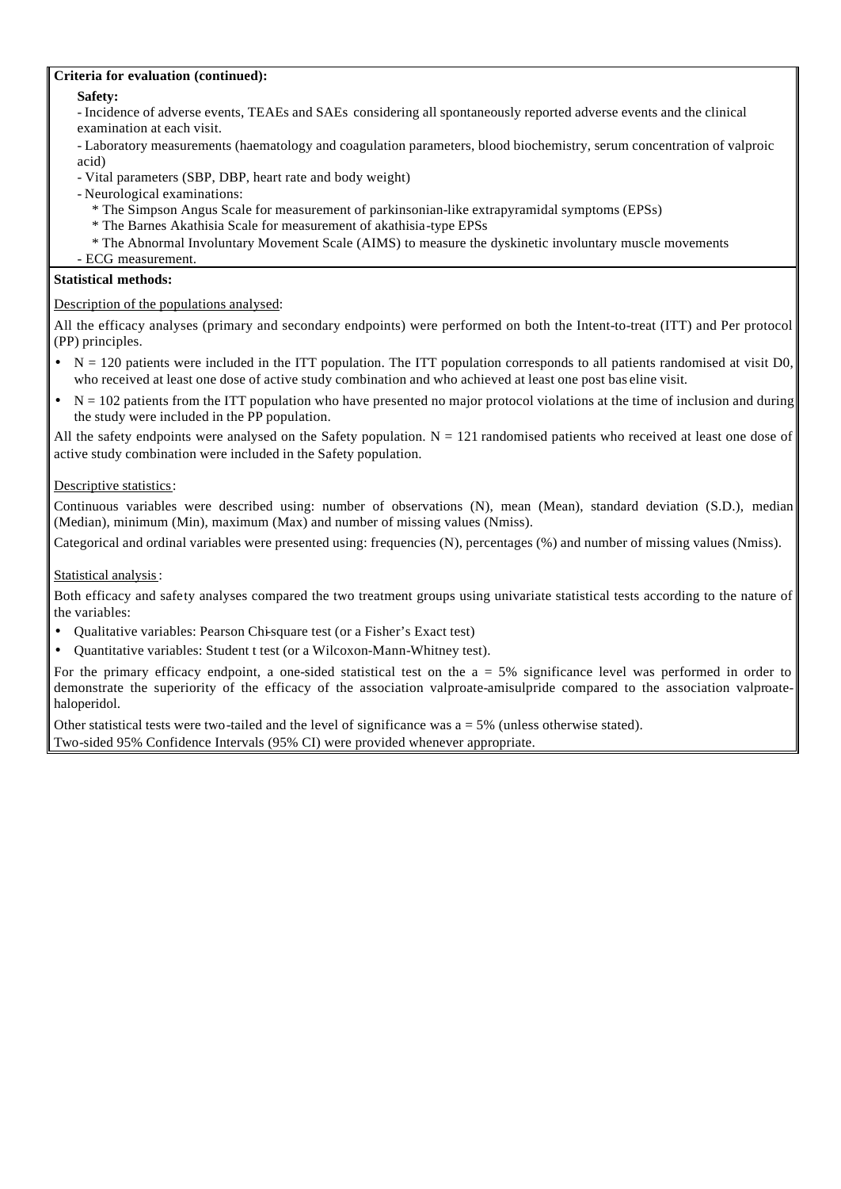### **Criteria for evaluation (continued):**

**Safety:**

- Incidence of adverse events, TEAEs and SAEs considering all spontaneously reported adverse events and the clinical examination at each visit.

- Laboratory measurements (haematology and coagulation parameters, blood biochemistry, serum concentration of valproic acid)

- Vital parameters (SBP, DBP, heart rate and body weight)
- Neurological examinations:
	- \* The Simpson Angus Scale for measurement of parkinsonian-like extrapyramidal symptoms (EPSs)
	- \* The Barnes Akathisia Scale for measurement of akathisia-type EPSs
	- \* The Abnormal Involuntary Movement Scale (AIMS) to measure the dyskinetic involuntary muscle movements
- ECG measurement.

# **Statistical methods:**

# Description of the populations analysed:

All the efficacy analyses (primary and secondary endpoints) were performed on both the Intent-to-treat (ITT) and Per protocol (PP) principles.

- $N = 120$  patients were included in the ITT population. The ITT population corresponds to all patients randomised at visit D0, who received at least one dose of active study combination and who achieved at least one post bas eline visit.
- $N = 102$  patients from the ITT population who have presented no major protocol violations at the time of inclusion and during the study were included in the PP population.

All the safety endpoints were analysed on the Safety population.  $N = 121$  randomised patients who received at least one dose of active study combination were included in the Safety population.

# Descriptive statistics:

Continuous variables were described using: number of observations (N), mean (Mean), standard deviation (S.D.), median (Median), minimum (Min), maximum (Max) and number of missing values (Nmiss).

Categorical and ordinal variables were presented using: frequencies (N), percentages (%) and number of missing values (Nmiss).

# Statistical analysis:

Both efficacy and safety analyses compared the two treatment groups using univariate statistical tests according to the nature of the variables:

- Qualitative variables: Pearson Chi-square test (or a Fisher's Exact test)
- Quantitative variables: Student t test (or a Wilcoxon-Mann-Whitney test).

For the primary efficacy endpoint, a one-sided statistical test on the  $a = 5%$  significance level was performed in order to demonstrate the superiority of the efficacy of the association valproate-amisulpride compared to the association valproatehaloperidol.

Other statistical tests were two-tailed and the level of significance was  $a = 5%$  (unless otherwise stated). Two-sided 95% Confidence Intervals (95% CI) were provided whenever appropriate.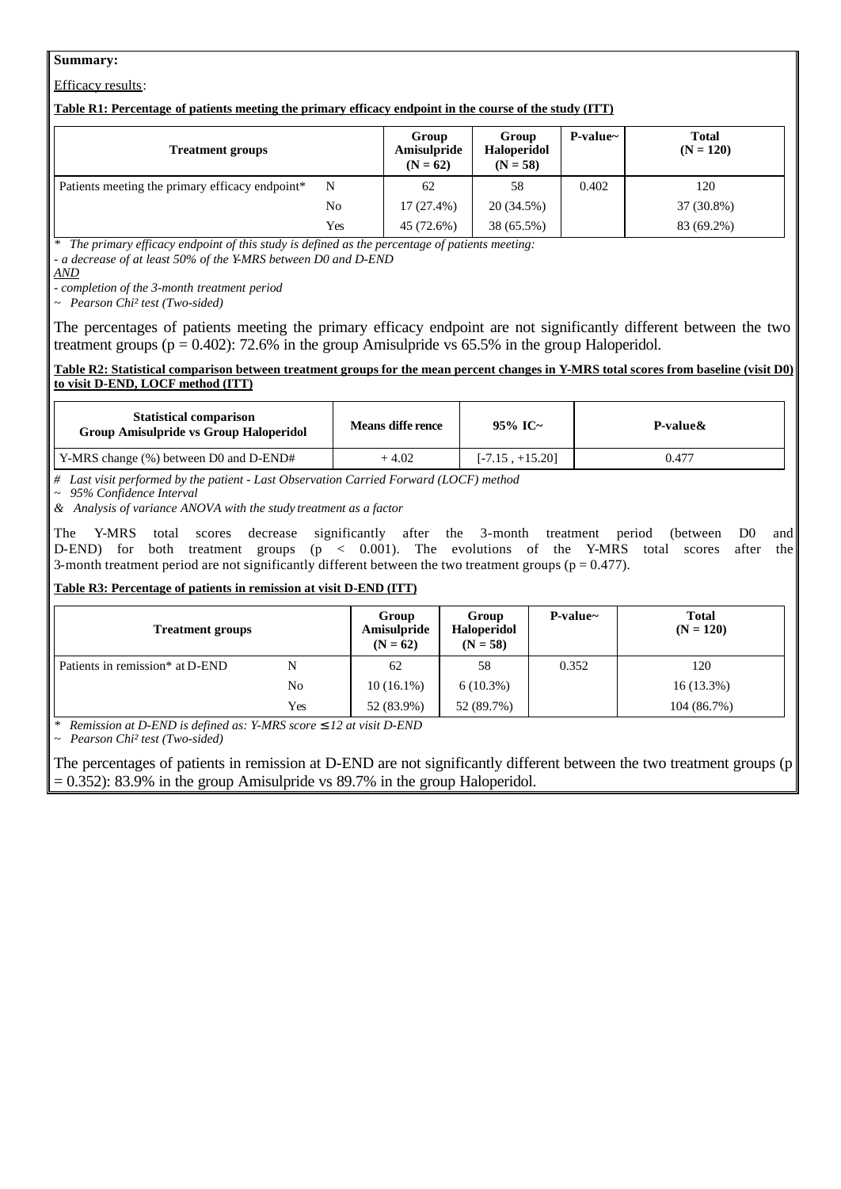### **Summary:**

Efficacy results:

#### **Table R1: Percentage of patients meeting the primary efficacy endpoint in the course of the study (ITT)**

| <b>Treatment groups</b>                         |     | Group<br>Amisulpride<br>$(N = 62)$ | Group<br><b>Haloperidol</b><br>$(N = 58)$ | $P-value~$ | <b>Total</b><br>$(N = 120)$ |
|-------------------------------------------------|-----|------------------------------------|-------------------------------------------|------------|-----------------------------|
| Patients meeting the primary efficacy endpoint* | N   | 62                                 | 58                                        | 0.402      | 120                         |
|                                                 | No  | $17(27.4\%)$                       | 20 (34.5%)                                |            | 37 (30.8%)                  |
|                                                 | Yes | 45 (72.6%)                         | 38 (65.5%)                                |            | 83 (69.2%)                  |

*\* The primary efficacy endpoint of this study is defined as the percentage of patients meeting:* 

*- a decrease of at least 50% of the Y-MRS between D0 and D-END*

*AND*

*- completion of the 3-month treatment period*

*~ Pearson Chi² test (Two-sided)*

The percentages of patients meeting the primary efficacy endpoint are not significantly different between the two treatment groups ( $p = 0.402$ ): 72.6% in the group Amisulpride vs 65.5% in the group Haloperidol.

#### **Table R2: Statistical comparison between treatment groups for the mean percent changes in Y-MRS total scores from baseline (visit D0) to visit D-END, LOCF method (ITT)**

| <b>Statistical comparison</b><br><b>Group Amisulpride vs Group Haloperidol</b> | Means diffe rence | 95% IC~           | P-value& |
|--------------------------------------------------------------------------------|-------------------|-------------------|----------|
| Y-MRS change (%) between D0 and D-END#                                         | $+4.02$           | $[-7.15, +15.20]$ | 0.477    |

*# Last visit performed by the patient - Last Observation Carried Forward (LOCF) method*

*~ 95% Confidence Interval*

*& Analysis of variance ANOVA with the study treatment as a factor*

The Y-MRS total scores decrease significantly after the 3-month treatment period (between D0 and D-END) for both treatment groups (p < 0.001). The evolutions of the Y-MRS total scores after the 3-month treatment period are not significantly different between the two treatment groups ( $p = 0.477$ ).

# **Table R3: Percentage of patients in remission at visit D-END (ITT)**

| <b>Treatment groups</b>                     |     | Group<br>Amisulpride<br>$(N = 62)$ | Group<br><b>Haloperidol</b><br>$(N = 58)$ | $P-value~$ | <b>Total</b><br>$(N = 120)$ |
|---------------------------------------------|-----|------------------------------------|-------------------------------------------|------------|-----------------------------|
| Patients in remission <sup>*</sup> at D-END | N   | 62                                 | 58                                        | 0.352      | 120                         |
|                                             | No  | $10(16.1\%)$                       | $6(10.3\%)$                               |            | $16(13.3\%)$                |
|                                             | Yes | 52 (83.9%)                         | 52 (89.7%)                                |            | 104 (86.7%)                 |

*\* Remission at D-END is defined as: Y-MRS score £ 12 at visit D-END*

*~ Pearson Chi² test (Two-sided)*

The percentages of patients in remission at D-END are not significantly different between the two treatment groups (p = 0.352): 83.9% in the group Amisulpride vs 89.7% in the group Haloperidol.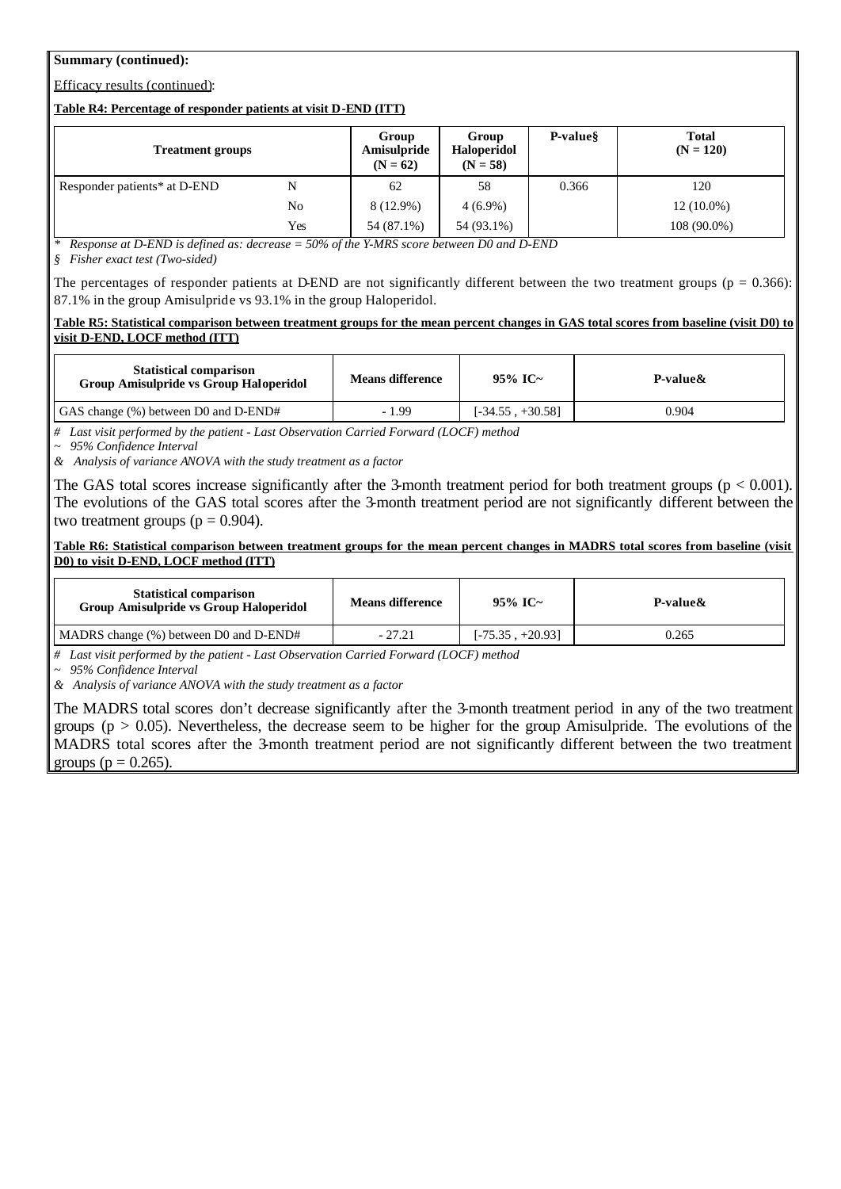### **Summary (continued):**

# Efficacy results (continued):

#### **Table R4: Percentage of responder patients at visit D-END (ITT)**

| <b>Treatment groups</b>      |     | Group<br>Amisulpride<br>$(N = 62)$ | Group<br>Haloperidol<br>$(N = 58)$ | P-value <sup>§</sup> | <b>Total</b><br>$(N = 120)$ |
|------------------------------|-----|------------------------------------|------------------------------------|----------------------|-----------------------------|
| Responder patients* at D-END | N   | 62                                 | 58                                 | 0.366                | 120                         |
|                              | No  | 8 (12.9%)                          | $4(6.9\%)$                         |                      | $12(10.0\%)$                |
|                              | Yes | 54 (87.1%)                         | 54 (93.1%)                         |                      | 108 (90.0%)                 |

*Response at D-END is defined as: decrease = 50% of the Y-MRS score between D0 and D-END* 

*§ Fisher exact test (Two-sided)*

The percentages of responder patients at D-END are not significantly different between the two treatment groups ( $p = 0.366$ ): 87.1% in the group Amisulpride vs 93.1% in the group Haloperidol.

#### **Table R5: Statistical comparison between treatment groups for the mean percent changes in GAS total scores from baseline (visit D0) to visit D-END, LOCF method (ITT)**

| <b>Statistical comparison</b><br>Group Amisulpride vs Group Haloperidol | <b>Means difference</b> | 95% IC~            | P-value& |
|-------------------------------------------------------------------------|-------------------------|--------------------|----------|
| GAS change (%) between D0 and D-END#                                    | $-1.99$                 | $[-34.55, +30.58]$ | 0.904    |

*# Last visit performed by the patient - Last Observation Carried Forward (LOCF) method*

*~ 95% Confidence Interval*

*& Analysis of variance ANOVA with the study treatment as a factor*

The GAS total scores increase significantly after the 3-month treatment period for both treatment groups ( $p < 0.001$ ). The evolutions of the GAS total scores after the 3-month treatment period are not significantly different between the two treatment groups ( $p = 0.904$ ).

Table R6: Statistical comparison between treatment groups for the mean percent changes in MADRS total scores from baseline (visit **D0) to visit D-END, LOCF method (ITT)**

| <b>Statistical comparison</b><br><b>Group Amisulpride vs Group Haloperidol</b> | <b>Means difference</b> | 95% IC~            | P-value& |
|--------------------------------------------------------------------------------|-------------------------|--------------------|----------|
| MADRS change (%) between D0 and D-END#                                         | $-27.21$                | $[-75.35, +20.93]$ | 0.265    |

*# Last visit performed by the patient - Last Observation Carried Forward (LOCF) method*

*~ 95% Confidence Interval*

*& Analysis of variance ANOVA with the study treatment as a factor*

The MADRS total scores don't decrease significantly after the 3-month treatment period in any of the two treatment groups ( $p > 0.05$ ). Nevertheless, the decrease seem to be higher for the group Amisulpride. The evolutions of the MADRS total scores after the 3-month treatment period are not significantly different between the two treatment groups ( $p = 0.265$ ).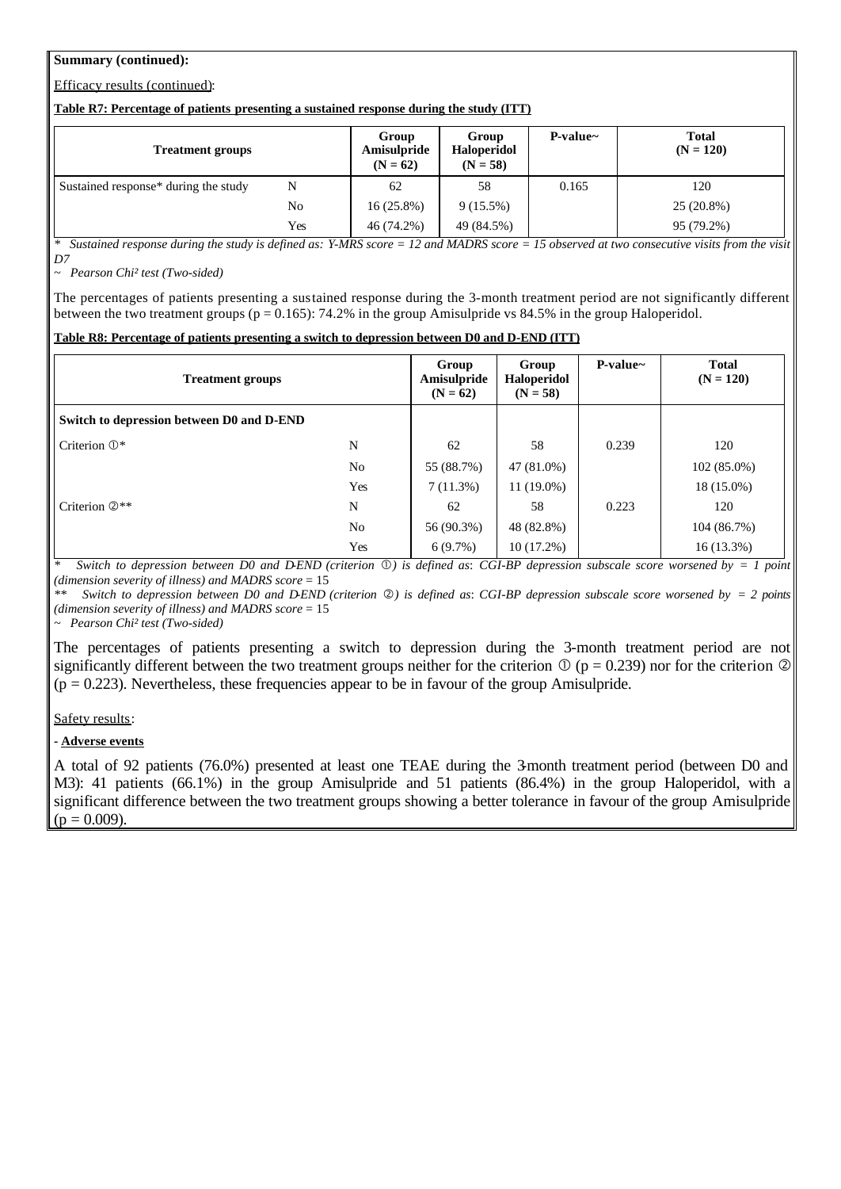## **Summary (continued):**

## Efficacy results (continued):

#### **Table R7: Percentage of patients presenting a sustained response during the study (ITT)**

| <b>Treatment groups</b>              |     | Group<br>Amisulpride<br>$(N = 62)$ | Group<br>Haloperidol<br>$(N = 58)$ | $P-value~$ | <b>Total</b><br>$(N = 120)$ |
|--------------------------------------|-----|------------------------------------|------------------------------------|------------|-----------------------------|
| Sustained response* during the study | N   | 62                                 | 58                                 | 0.165      | 120                         |
|                                      | No  | $16(25.8\%)$                       | $9(15.5\%)$                        |            | 25 (20.8%)                  |
|                                      | Yes | 46 (74.2%)                         | 49 (84.5%)                         |            | 95 (79.2%)                  |

*\* Sustained response during the study is defined as: Y-MRS score = 12 and MADRS score = 15 observed at two consecutive visits from the visit D7*

*~ Pearson Chi² test (Two-sided)*

The percentages of patients presenting a sustained response during the 3-month treatment period are not significantly different between the two treatment groups ( $p = 0.165$ ): 74.2% in the group Amisulpride vs 84.5% in the group Haloperidol.

## **Table R8: Percentage of patients presenting a switch to depression between D0 and D-END (ITT)**

| <b>Treatment groups</b>                   |                | Group<br>Amisulpride<br>$(N = 62)$ | Group<br>Haloperidol<br>$(N = 58)$ | $P-value~$ | <b>Total</b><br>$(N = 120)$ |
|-------------------------------------------|----------------|------------------------------------|------------------------------------|------------|-----------------------------|
| Switch to depression between D0 and D-END |                |                                    |                                    |            |                             |
| Criterion $\mathbb{O}^*$                  | N              | 62                                 | 58                                 | 0.239      | 120                         |
|                                           | N <sub>0</sub> | 55 (88.7%)                         | 47 (81.0%)                         |            | $102(85.0\%)$               |
|                                           | Yes            | 7(11.3%)                           | $11(19.0\%)$                       |            | 18 (15.0%)                  |
| Criterion $\mathbb{Q}^{**}$               | N              | 62                                 | 58                                 | 0.223      | 120                         |
|                                           | N <sub>0</sub> | 56 (90.3%)                         | 48 (82.8%)                         |            | 104 (86.7%)                 |
|                                           | Yes            | 6(9.7%)                            | $10(17.2\%)$                       |            | $16(13.3\%)$                |

*Switch to depression between D0 and D-END (criterion*  $\mathbb{O}$ *) is defined as: CGI-BP depression subscale score worsened by = 1 point (dimension severity of illness) and MADRS score* = 15

*Switch to depression between D0 and D-END (criterion*  $\oslash$ *) is defined as: CGI-BP depression subscale score worsened by = 2 points (dimension severity of illness) and MADRS score* = 15

*~ Pearson Chi² test (Two-sided)*

The percentages of patients presenting a switch to depression during the 3-month treatment period are not significantly different between the two treatment groups neither for the criterion  $\mathbb{O}$  (p = 0.239) nor for the criterion  $\mathbb{O}$  $(p = 0.223)$ . Nevertheless, these frequencies appear to be in favour of the group Amisulpride.

### Safety results:

**- Adverse events**

A total of 92 patients (76.0%) presented at least one TEAE during the 3-month treatment period (between D0 and M3): 41 patients (66.1%) in the group Amisulpride and 51 patients (86.4%) in the group Haloperidol, with a significant difference between the two treatment groups showing a better tolerance in favour of the group Amisulpride  $(p = 0.009)$ .